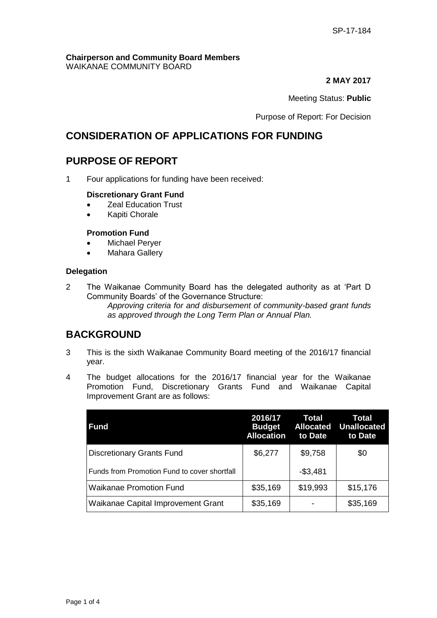#### **Chairperson and Community Board Members** WAIKANAE COMMUNITY BOARD

#### **2 MAY 2017**

#### Meeting Status: **Public**

Purpose of Report: For Decision

## **CONSIDERATION OF APPLICATIONS FOR FUNDING**

## **PURPOSE OF REPORT**

1 Four applications for funding have been received:

#### **Discretionary Grant Fund**

- Zeal Education Trust
- Kapiti Chorale

#### **Promotion Fund**

- Michael Peryer
- Mahara Gallery

#### **Delegation**

2 The Waikanae Community Board has the delegated authority as at 'Part D Community Boards' of the Governance Structure:

*Approving criteria for and disbursement of community-based grant funds as approved through the Long Term Plan or Annual Plan.* 

### **BACKGROUND**

- 3 This is the sixth Waikanae Community Board meeting of the 2016/17 financial year.
- 4 The budget allocations for the 2016/17 financial year for the Waikanae Promotion Fund, Discretionary Grants Fund and Waikanae Capital Improvement Grant are as follows:

| <b>Fund</b>                                  | 2016/17<br><b>Budget</b><br><b>Allocation</b> | Total<br><b>Allocated</b><br>to Date | Total<br><b>Unallocated</b><br>to Date |
|----------------------------------------------|-----------------------------------------------|--------------------------------------|----------------------------------------|
| <b>Discretionary Grants Fund</b>             | \$6,277                                       | \$9,758                              | \$0                                    |
| Funds from Promotion Fund to cover shortfall |                                               | $-$3,481$                            |                                        |
| <b>Waikanae Promotion Fund</b>               | \$35,169                                      | \$19,993                             | \$15,176                               |
| Waikanae Capital Improvement Grant           | \$35,169                                      |                                      | \$35,169                               |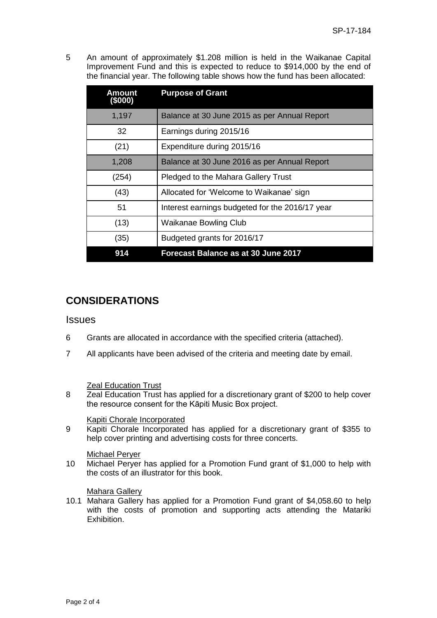5 An amount of approximately \$1.208 million is held in the Waikanae Capital Improvement Fund and this is expected to reduce to \$914,000 by the end of the financial year. The following table shows how the fund has been allocated:

| Amount<br>(\$000) | <b>Purpose of Grant</b>                         |
|-------------------|-------------------------------------------------|
| 1,197             | Balance at 30 June 2015 as per Annual Report    |
| 32                | Earnings during 2015/16                         |
| (21)              | Expenditure during 2015/16                      |
| 1,208             | Balance at 30 June 2016 as per Annual Report    |
| (254)             | Pledged to the Mahara Gallery Trust             |
| (43)              | Allocated for 'Welcome to Waikanae' sign        |
| 51                | Interest earnings budgeted for the 2016/17 year |
| (13)              | <b>Waikanae Bowling Club</b>                    |
| (35)              | Budgeted grants for 2016/17                     |
| 914               | <b>Forecast Balance as at 30 June 2017</b>      |

# **CONSIDERATIONS**

### **Issues**

- 6 Grants are allocated in accordance with the specified criteria (attached).
- 7 All applicants have been advised of the criteria and meeting date by email.

### **Zeal Education Trust**

8 Zeal Education Trust has applied for a discretionary grant of \$200 to help cover the resource consent for the Kāpiti Music Box project.

#### Kapiti Chorale Incorporated

9 Kapiti Chorale Incorporated has applied for a discretionary grant of \$355 to help cover printing and advertising costs for three concerts.

#### Michael Peryer

10 Michael Peryer has applied for a Promotion Fund grant of \$1,000 to help with the costs of an illustrator for this book.

#### Mahara Gallery

10.1 Mahara Gallery has applied for a Promotion Fund grant of \$4,058.60 to help with the costs of promotion and supporting acts attending the Matariki Exhibition.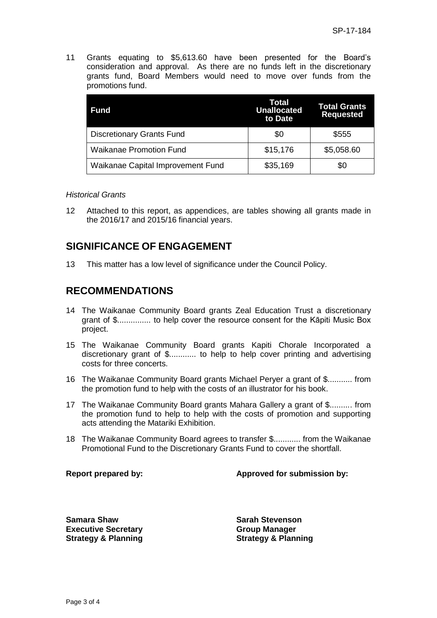11 Grants equating to \$5,613.60 have been presented for the Board's consideration and approval. As there are no funds left in the discretionary grants fund, Board Members would need to move over funds from the promotions fund.

| Fund                              | Total<br><b>Unallocated</b><br>to Date | <b>Total Grants</b><br><b>Requested</b> |
|-----------------------------------|----------------------------------------|-----------------------------------------|
| <b>Discretionary Grants Fund</b>  | \$0                                    | \$555                                   |
| <b>Waikanae Promotion Fund</b>    | \$15,176                               | \$5,058.60                              |
| Waikanae Capital Improvement Fund | \$35,169                               | \$0                                     |

#### *Historical Grants*

12 Attached to this report, as appendices, are tables showing all grants made in the 2016/17 and 2015/16 financial years.

## **SIGNIFICANCE OF ENGAGEMENT**

13 This matter has a low level of significance under the Council Policy.

### **RECOMMENDATIONS**

- 14 The Waikanae Community Board grants Zeal Education Trust a discretionary grant of \$............... to help cover the resource consent for the Kāpiti Music Box project.
- 15 The Waikanae Community Board grants Kapiti Chorale Incorporated a discretionary grant of \$............ to help to help cover printing and advertising costs for three concerts.
- 16 The Waikanae Community Board grants Michael Peryer a grant of \$........... from the promotion fund to help with the costs of an illustrator for his book.
- 17 The Waikanae Community Board grants Mahara Gallery a grant of \$.......... from the promotion fund to help to help with the costs of promotion and supporting acts attending the Matariki Exhibition.
- 18 The Waikanae Community Board agrees to transfer \$............ from the Waikanae Promotional Fund to the Discretionary Grants Fund to cover the shortfall.

#### **Report prepared by: Approved for submission by:**

**Samara Shaw Sarah Stevenson Executive Secretary Strategy & Planning**

**Group Manager Strategy & Planning**